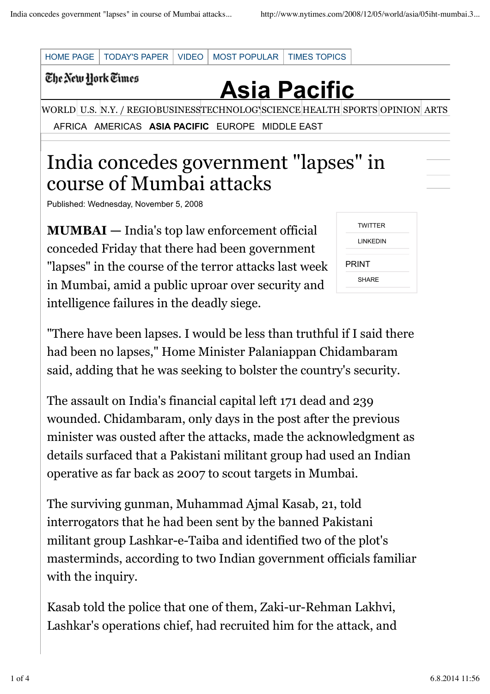

Published: Wednesday, November 5, 2008

**MUMBAI —** India's top law enforcement official conceded Friday that there had been government "lapses" in the course of the terror attacks last week in Mumbai, amid a public uproar over security and intelligence failures in the deadly siege.

| <b>TWITTER</b> |  |
|----------------|--|
| LINKEDIN       |  |
| PRINT          |  |
| <b>SHARF</b>   |  |
|                |  |

"There have been lapses. I would be less than truthful if I said there had been no lapses," Home Minister Palaniappan Chidambaram said, adding that he was seeking to bolster the country's security.

The assault on India's financial capital left 171 dead and 239 wounded. Chidambaram, only days in the post after the previous minister was ousted after the attacks, made the acknowledgment as details surfaced that a Pakistani militant group had used an Indian operative as far back as 2007 to scout targets in Mumbai.

The surviving gunman, Muhammad Ajmal Kasab, 21, told interrogators that he had been sent by the banned Pakistani militant group Lashkar-e-Taiba and identified two of the plot's masterminds, according to two Indian government officials familiar with the inquiry.

Kasab told the police that one of them, Zaki-ur-Rehman Lakhvi, Lashkar's operations chief, had recruited him for the attack, and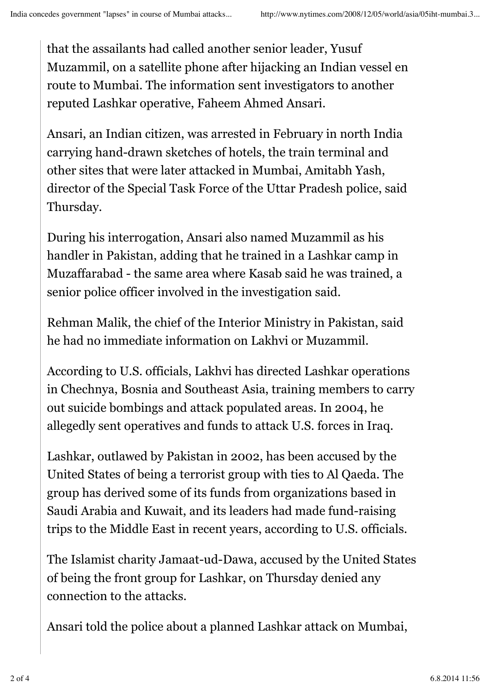that the assailants had called another senior leader, Yusuf Muzammil, on a satellite phone after hijacking an Indian vessel en route to Mumbai. The information sent investigators to another reputed Lashkar operative, Faheem Ahmed Ansari.

Ansari, an Indian citizen, was arrested in February in north India carrying hand-drawn sketches of hotels, the train terminal and other sites that were later attacked in Mumbai, Amitabh Yash, director of the Special Task Force of the Uttar Pradesh police, said Thursday.

During his interrogation, Ansari also named Muzammil as his handler in Pakistan, adding that he trained in a Lashkar camp in Muzaffarabad - the same area where Kasab said he was trained, a senior police officer involved in the investigation said.

Rehman Malik, the chief of the Interior Ministry in Pakistan, said he had no immediate information on Lakhvi or Muzammil.

According to U.S. officials, Lakhvi has directed Lashkar operations in Chechnya, Bosnia and Southeast Asia, training members to carry out suicide bombings and attack populated areas. In 2004, he allegedly sent operatives and funds to attack U.S. forces in Iraq.

Lashkar, outlawed by Pakistan in 2002, has been accused by the United States of being a terrorist group with ties to Al Qaeda. The group has derived some of its funds from organizations based in Saudi Arabia and Kuwait, and its leaders had made fund-raising trips to the Middle East in recent years, according to U.S. officials.

The Islamist charity Jamaat-ud-Dawa, accused by the United States of being the front group for Lashkar, on Thursday denied any connection to the attacks.

Ansari told the police about a planned Lashkar attack on Mumbai,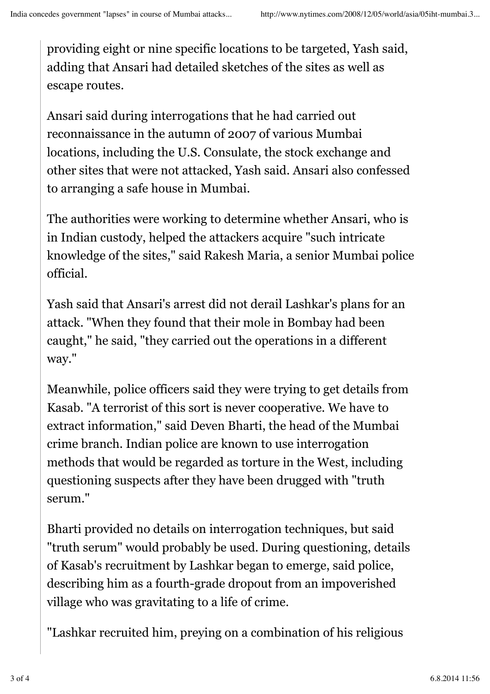providing eight or nine specific locations to be targeted, Yash said, adding that Ansari had detailed sketches of the sites as well as escape routes.

Ansari said during interrogations that he had carried out reconnaissance in the autumn of 2007 of various Mumbai locations, including the U.S. Consulate, the stock exchange and other sites that were not attacked, Yash said. Ansari also confessed to arranging a safe house in Mumbai.

The authorities were working to determine whether Ansari, who is in Indian custody, helped the attackers acquire "such intricate knowledge of the sites," said Rakesh Maria, a senior Mumbai police official.

Yash said that Ansari's arrest did not derail Lashkar's plans for an attack. "When they found that their mole in Bombay had been caught," he said, "they carried out the operations in a different way."

Meanwhile, police officers said they were trying to get details from Kasab. "A terrorist of this sort is never cooperative. We have to extract information," said Deven Bharti, the head of the Mumbai crime branch. Indian police are known to use interrogation methods that would be regarded as torture in the West, including questioning suspects after they have been drugged with "truth serum."

Bharti provided no details on interrogation techniques, but said "truth serum" would probably be used. During questioning, details of Kasab's recruitment by Lashkar began to emerge, said police, describing him as a fourth-grade dropout from an impoverished village who was gravitating to a life of crime.

"Lashkar recruited him, preying on a combination of his religious